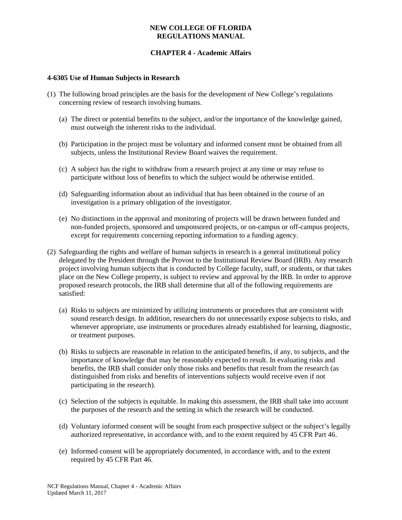## **CHAPTER 4 - Academic Affairs**

#### **4-6305 Use of Human Subjects in Research**

- (1) The following broad principles are the basis for the development of New College's regulations concerning review of research involving humans.
	- (a) The direct or potential benefits to the subject, and/or the importance of the knowledge gained, must outweigh the inherent risks to the individual.
	- (b) Participation in the project must be voluntary and informed consent must be obtained from all subjects, unless the Institutional Review Board waives the requirement.
	- (c) A subject has the right to withdraw from a research project at any time or may refuse to participate without loss of benefits to which the subject would be otherwise entitled.
	- (d) Safeguarding information about an individual that has been obtained in the course of an investigation is a primary obligation of the investigator.
	- (e) No distinctions in the approval and monitoring of projects will be drawn between funded and non-funded projects, sponsored and unsponsored projects, or on-campus or off-campus projects, except for requirements concerning reporting information to a funding agency.
- (2) Safeguarding the rights and welfare of human subjects in research is a general institutional policy delegated by the President through the Provost to the Institutional Review Board (IRB). Any research project involving human subjects that is conducted by College faculty, staff, or students, or that takes place on the New College property, is subject to review and approval by the IRB. In order to approve proposed research protocols, the IRB shall determine that all of the following requirements are satisfied:
	- (a) Risks to subjects are minimized by utilizing instruments or procedures that are consistent with sound research design. In addition, researchers do not unnecessarily expose subjects to risks, and whenever appropriate, use instruments or procedures already established for learning, diagnostic, or treatment purposes.
	- (b) Risks to subjects are reasonable in relation to the anticipated benefits, if any, to subjects, and the importance of knowledge that may be reasonably expected to result. In evaluating risks and benefits, the IRB shall consider only those risks and benefits that result from the research (as distinguished from risks and benefits of interventions subjects would receive even if not participating in the research).
	- (c) Selection of the subjects is equitable. In making this assessment, the IRB shall take into account the purposes of the research and the setting in which the research will be conducted.
	- (d) Voluntary informed consent will be sought from each prospective subject or the subject's legally authorized representative, in accordance with, and to the extent required by 45 CFR Part 46.
	- (e) Informed consent will be appropriately documented, in accordance with, and to the extent required by 45 CFR Part 46.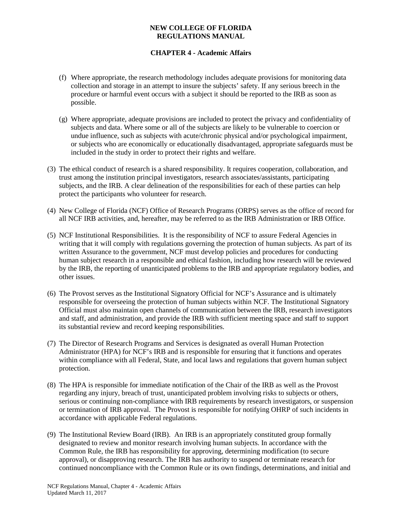# **CHAPTER 4 - Academic Affairs**

- (f) Where appropriate, the research methodology includes adequate provisions for monitoring data collection and storage in an attempt to insure the subjects' safety. If any serious breech in the procedure or harmful event occurs with a subject it should be reported to the IRB as soon as possible.
- (g) Where appropriate, adequate provisions are included to protect the privacy and confidentiality of subjects and data. Where some or all of the subjects are likely to be vulnerable to coercion or undue influence, such as subjects with acute/chronic physical and/or psychological impairment, or subjects who are economically or educationally disadvantaged, appropriate safeguards must be included in the study in order to protect their rights and welfare.
- (3) The ethical conduct of research is a shared responsibility. It requires cooperation, collaboration, and trust among the institution principal investigators, research associates/assistants, participating subjects, and the IRB. A clear delineation of the responsibilities for each of these parties can help protect the participants who volunteer for research.
- (4) New College of Florida (NCF) Office of Research Programs (ORPS) serves as the office of record for all NCF IRB activities, and, hereafter, may be referred to as the IRB Administration or IRB Office.
- (5) NCF Institutional Responsibilities. It is the responsibility of NCF to assure Federal Agencies in writing that it will comply with regulations governing the protection of human subjects. As part of its written Assurance to the government, NCF must develop policies and procedures for conducting human subject research in a responsible and ethical fashion, including how research will be reviewed by the IRB, the reporting of unanticipated problems to the IRB and appropriate regulatory bodies, and other issues.
- (6) The Provost serves as the Institutional Signatory Official for NCF's Assurance and is ultimately responsible for overseeing the protection of human subjects within NCF. The Institutional Signatory Official must also maintain open channels of communication between the IRB, research investigators and staff, and administration, and provide the IRB with sufficient meeting space and staff to support its substantial review and record keeping responsibilities.
- (7) The Director of Research Programs and Services is designated as overall Human Protection Administrator (HPA) for NCF's IRB and is responsible for ensuring that it functions and operates within compliance with all Federal, State, and local laws and regulations that govern human subject protection.
- (8) The HPA is responsible for immediate notification of the Chair of the IRB as well as the Provost regarding any injury, breach of trust, unanticipated problem involving risks to subjects or others, serious or continuing non-compliance with IRB requirements by research investigators, or suspension or termination of IRB approval. The Provost is responsible for notifying OHRP of such incidents in accordance with applicable Federal regulations.
- (9) The Institutional Review Board (IRB). An IRB is an appropriately constituted group formally designated to review and monitor research involving human subjects. In accordance with the Common Rule, the IRB has responsibility for approving, determining modification (to secure approval), or disapproving research. The IRB has authority to suspend or terminate research for continued noncompliance with the Common Rule or its own findings, determinations, and initial and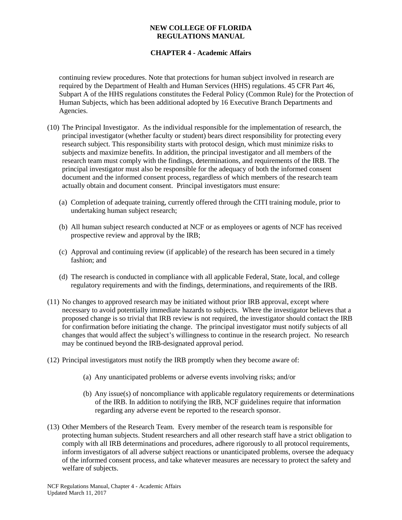# **CHAPTER 4 - Academic Affairs**

continuing review procedures. Note that protections for human subject involved in research are required by the Department of Health and Human Services (HHS) regulations. 45 CFR Part 46, Subpart A of the HHS regulations constitutes the Federal Policy (Common Rule) for the Protection of Human Subjects, which has been additional adopted by 16 Executive Branch Departments and Agencies.

- (10) The Principal Investigator. As the individual responsible for the implementation of research, the principal investigator (whether faculty or student) bears direct responsibility for protecting every research subject. This responsibility starts with protocol design, which must minimize risks to subjects and maximize benefits. In addition, the principal investigator and all members of the research team must comply with the findings, determinations, and requirements of the IRB. The principal investigator must also be responsible for the adequacy of both the informed consent document and the informed consent process, regardless of which members of the research team actually obtain and document consent. Principal investigators must ensure:
	- (a) Completion of adequate training, currently offered through the CITI training module, prior to undertaking human subject research;
	- (b) All human subject research conducted at NCF or as employees or agents of NCF has received prospective review and approval by the IRB;
	- (c) Approval and continuing review (if applicable) of the research has been secured in a timely fashion; and
	- (d) The research is conducted in compliance with all applicable Federal, State, local, and college regulatory requirements and with the findings, determinations, and requirements of the IRB.
- (11) No changes to approved research may be initiated without prior IRB approval, except where necessary to avoid potentially immediate hazards to subjects. Where the investigator believes that a proposed change is so trivial that IRB review is not required, the investigator should contact the IRB for confirmation before initiating the change. The principal investigator must notify subjects of all changes that would affect the subject's willingness to continue in the research project. No research may be continued beyond the IRB-designated approval period.
- (12) Principal investigators must notify the IRB promptly when they become aware of:
	- (a) Any unanticipated problems or adverse events involving risks; and/or
	- (b) Any issue(s) of noncompliance with applicable regulatory requirements or determinations of the IRB. In addition to notifying the IRB, NCF guidelines require that information regarding any adverse event be reported to the research sponsor.
- (13) Other Members of the Research Team. Every member of the research team is responsible for protecting human subjects. Student researchers and all other research staff have a strict obligation to comply with all IRB determinations and procedures, adhere rigorously to all protocol requirements, inform investigators of all adverse subject reactions or unanticipated problems, oversee the adequacy of the informed consent process, and take whatever measures are necessary to protect the safety and welfare of subjects.